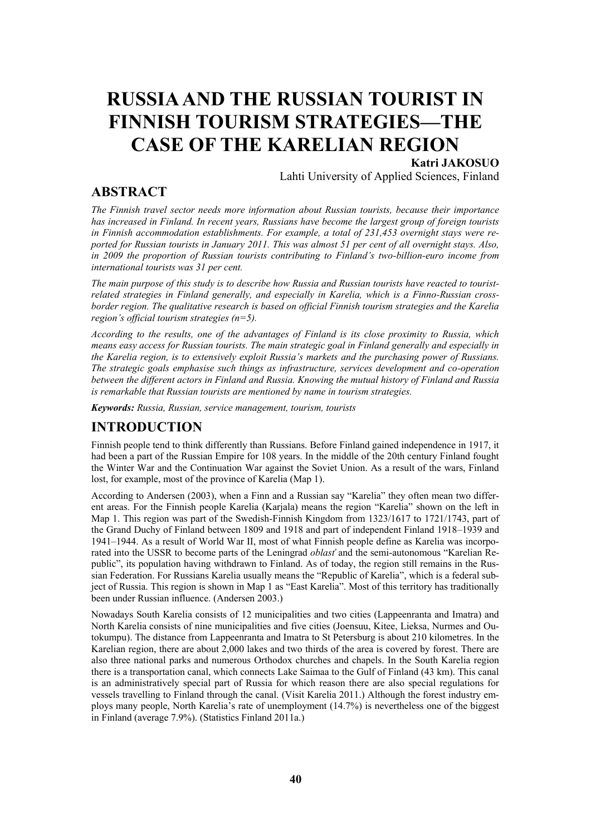## **RUSSIA AND THE RUSSIAN TOURIST IN FINNISH TOURISM STRATEGIES—THE CASE OF THE KARELIAN REGION**

## **Katri JAKOSUO**

Lahti University of Applied Sciences, Finland

## **ABSTRACT**

*The Finnish travel sector needs more information about Russian tourists, because their importance has increased in Finland. In recent years, Russians have become the largest group of foreign tourists in Finnish accommodation establishments. For example, a total of 231,453 overnight stays were reported for Russian tourists in January 2011. This was almost 51 per cent of all overnight stays. Also, in 2009 the proportion of Russian tourists contributing to Finland's two-billion-euro income from international tourists was 31 per cent.* 

*The main purpose of this study is to describe how Russia and Russian tourists have reacted to touristrelated strategies in Finland generally, and especially in Karelia, which is a Finno-Russian crossborder region. The qualitative research is based on official Finnish tourism strategies and the Karelia region's official tourism strategies (n=5).*

*According to the results, one of the advantages of Finland is its close proximity to Russia, which means easy access for Russian tourists. The main strategic goal in Finland generally and especially in the Karelia region, is to extensively exploit Russia's markets and the purchasing power of Russians. The strategic goals emphasise such things as infrastructure, services development and co-operation between the different actors in Finland and Russia. Knowing the mutual history of Finland and Russia is remarkable that Russian tourists are mentioned by name in tourism strategies.*

*Keywords: Russia, Russian, service management, tourism, tourists*

## **INTRODUCTION**

Finnish people tend to think differently than Russians. Before Finland gained independence in 1917, it had been a part of the Russian Empire for 108 years. In the middle of the 20th century Finland fought the Winter War and the Continuation War against the Soviet Union. As a result of the wars, Finland lost, for example, most of the province of Karelia (Map 1).

According to Andersen (2003), when a Finn and a Russian say "Karelia" they often mean two different areas. For the Finnish people Karelia (Kariala) means the region "Karelia" shown on the left in Map 1. This region was part of the Swedish-Finnish Kingdom from 1323/1617 to 1721/1743, part of the Grand Duchy of Finland between 1809 and 1918 and part of independent Finland 1918–1939 and 1941–1944. As a result of World War II, most of what Finnish people define as Karelia was incorporated into the USSR to become parts of the Leningrad *oblasť* and the semi-autonomous "Karelian Republic", its population having withdrawn to Finland. As of today, the region still remains in the Russian Federation. For Russians Karelia usually means the "Republic of Karelia", which is a federal subject of Russia. This region is shown in Map 1 as "East Karelia". Most of this territory has traditionally been under Russian influence. (Andersen 2003.)

Nowadays South Karelia consists of 12 municipalities and two cities (Lappeenranta and Imatra) and North Karelia consists of nine municipalities and five cities (Joensuu, Kitee, Lieksa, Nurmes and Outokumpu). The distance from Lappeenranta and Imatra to St Petersburg is about 210 kilometres. In the Karelian region, there are about 2,000 lakes and two thirds of the area is covered by forest. There are also three national parks and numerous Orthodox churches and chapels. In the South Karelia region there is a transportation canal, which connects Lake Saimaa to the Gulf of Finland (43 km). This canal is an administratively special part of Russia for which reason there are also special regulations for vessels travelling to Finland through the canal. (Visit Karelia 2011.) Although the forest industry employs many people, North Karelia's rate of unemployment (14.7%) is nevertheless one of the biggest in Finland (average 7.9%). (Statistics Finland 2011a.)